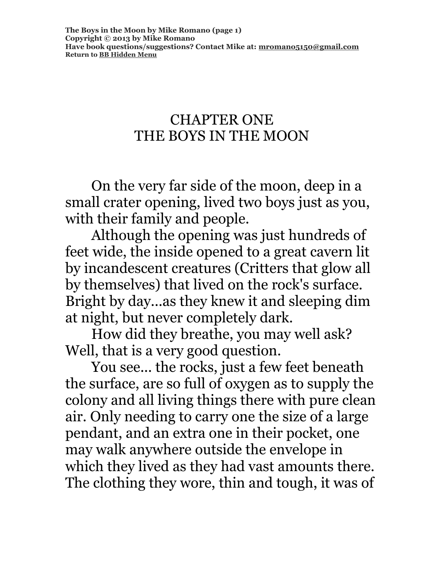### CHAPTER ONE THE BOYS IN THE MOON

On the very far side of the moon, deep in a small crater opening, lived two boys just as you, with their family and people.

Although the opening was just hundreds of feet wide, the inside opened to a great cavern lit by incandescent creatures (Critters that glow all by themselves) that lived on the rock's surface. Bright by day...as they knew it and sleeping dim at night, but never completely dark.

How did they breathe, you may well ask? Well, that is a very good question.

You see... the rocks, just a few feet beneath the surface, are so full of oxygen as to supply the colony and all living things there with pure clean air. Only needing to carry one the size of a large pendant, and an extra one in their pocket, one may walk anywhere outside the envelope in which they lived as they had vast amounts there. The clothing they wore, thin and tough, it was of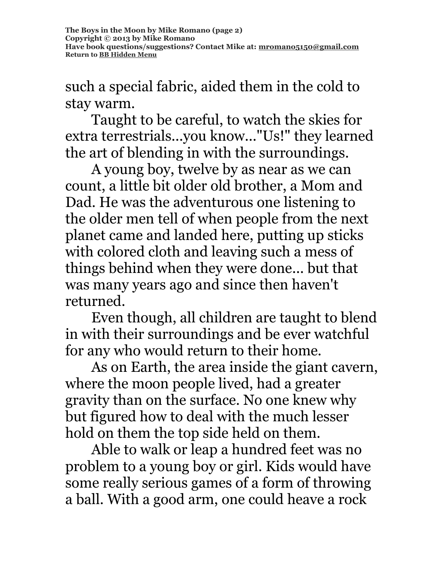such a special fabric, aided them in the cold to stay warm.

Taught to be careful, to watch the skies for extra terrestrials...you know..."Us!" they learned the art of blending in with the surroundings.

A young boy, twelve by as near as we can count, a little bit older old brother, a Mom and Dad. He was the adventurous one listening to the older men tell of when people from the next planet came and landed here, putting up sticks with colored cloth and leaving such a mess of things behind when they were done... but that was many years ago and since then haven't returned.

Even though, all children are taught to blend in with their surroundings and be ever watchful for any who would return to their home.

As on Earth, the area inside the giant cavern, where the moon people lived, had a greater gravity than on the surface. No one knew why but figured how to deal with the much lesser hold on them the top side held on them.

Able to walk or leap a hundred feet was no problem to a young boy or girl. Kids would have some really serious games of a form of throwing a ball. With a good arm, one could heave a rock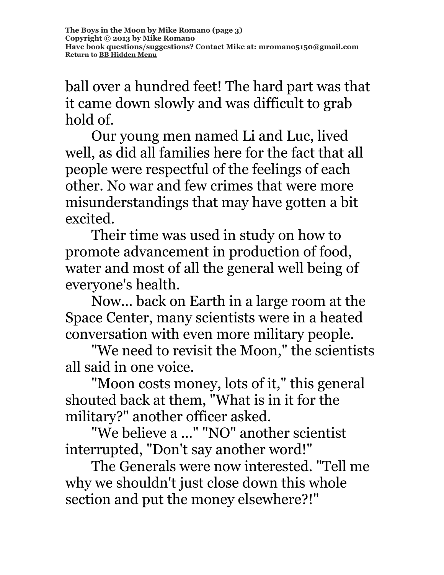ball over a hundred feet! The hard part was that it came down slowly and was difficult to grab hold of.

Our young men named Li and Luc, lived well, as did all families here for the fact that all people were respectful of the feelings of each other. No war and few crimes that were more misunderstandings that may have gotten a bit excited.

Their time was used in study on how to promote advancement in production of food, water and most of all the general well being of everyone's health.

Now... back on Earth in a large room at the Space Center, many scientists were in a heated conversation with even more military people.

"We need to revisit the Moon," the scientists all said in one voice.

"Moon costs money, lots of it," this general shouted back at them, "What is in it for the military?" another officer asked.

"We believe a ..." "NO" another scientist interrupted, "Don't say another word!"

The Generals were now interested. "Tell me why we shouldn't just close down this whole section and put the money elsewhere?!"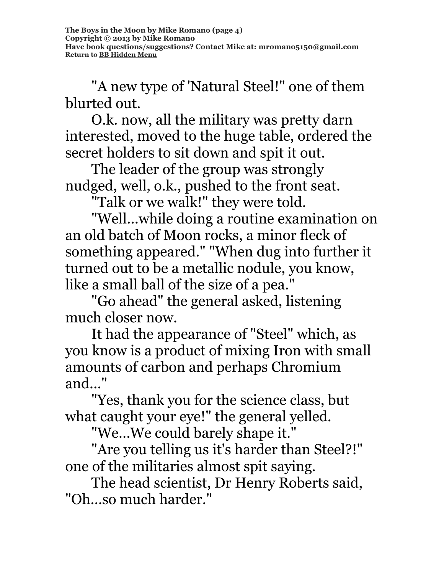"A new type of 'Natural Steel!" one of them blurted out.

O.k. now, all the military was pretty darn interested, moved to the huge table, ordered the secret holders to sit down and spit it out.

The leader of the group was strongly nudged, well, o.k., pushed to the front seat.

"Talk or we walk!" they were told.

"Well...while doing a routine examination on an old batch of Moon rocks, a minor fleck of something appeared." "When dug into further it turned out to be a metallic nodule, you know, like a small ball of the size of a pea."

"Go ahead" the general asked, listening much closer now.

It had the appearance of "Steel" which, as you know is a product of mixing Iron with small amounts of carbon and perhaps Chromium and..."

"Yes, thank you for the science class, but what caught your eye!" the general yelled.

"We...We could barely shape it."

"Are you telling us it's harder than Steel?!" one of the militaries almost spit saying.

The head scientist, Dr Henry Roberts said, "Oh...so much harder."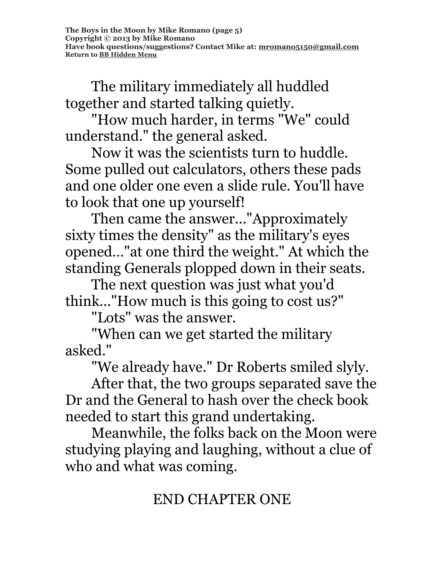The military immediately all huddled together and started talking quietly.

"How much harder, in terms "We" could understand." the general asked.

Now it was the scientists turn to huddle. Some pulled out calculators, others these pads and one older one even a slide rule. You'll have to look that one up yourself!

Then came the answer..."Approximately sixty times the density" as the military's eyes opened…"at one third the weight." At which the standing Generals plopped down in their seats.

The next question was just what you'd think..."How much is this going to cost us?"

"Lots" was the answer.

"When can we get started the military asked."

"We already have." Dr Roberts smiled slyly.

After that, the two groups separated save the Dr and the General to hash over the check book needed to start this grand undertaking.

Meanwhile, the folks back on the Moon were studying playing and laughing, without a clue of who and what was coming.

# END CHAPTER ONE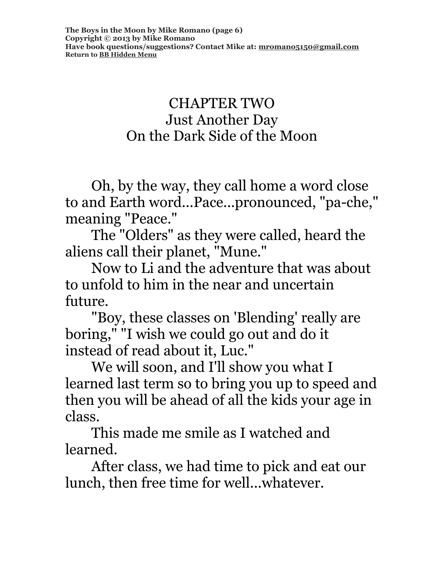### CHAPTER TWO Just Another Day On the Dark Side of the Moon

Oh, by the way, they call home a word close to and Earth word...Pace...pronounced, "pa-che," meaning "Peace."

The "Olders" as they were called, heard the aliens call their planet, "Mune."

Now to Li and the adventure that was about to unfold to him in the near and uncertain future.

"Boy, these classes on 'Blending' really are boring," "I wish we could go out and do it instead of read about it, Luc."

We will soon, and I'll show you what I learned last term so to bring you up to speed and then you will be ahead of all the kids your age in class.

This made me smile as I watched and learned.

After class, we had time to pick and eat our lunch, then free time for well...whatever.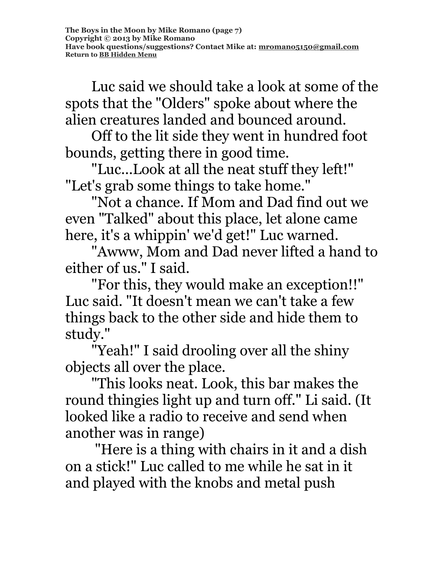Luc said we should take a look at some of the spots that the "Olders" spoke about where the alien creatures landed and bounced around.

Off to the lit side they went in hundred foot bounds, getting there in good time.

"Luc...Look at all the neat stuff they left!" "Let's grab some things to take home."

"Not a chance. If Mom and Dad find out we even "Talked" about this place, let alone came here, it's a whippin' we'd get!" Luc warned.

"Awww, Mom and Dad never lifted a hand to either of us." I said.

"For this, they would make an exception!!" Luc said. "It doesn't mean we can't take a few things back to the other side and hide them to study."

"Yeah!" I said drooling over all the shiny objects all over the place.

"This looks neat. Look, this bar makes the round thingies light up and turn off." Li said. (It looked like a radio to receive and send when another was in range)

"Here is a thing with chairs in it and a dish on a stick!" Luc called to me while he sat in it and played with the knobs and metal push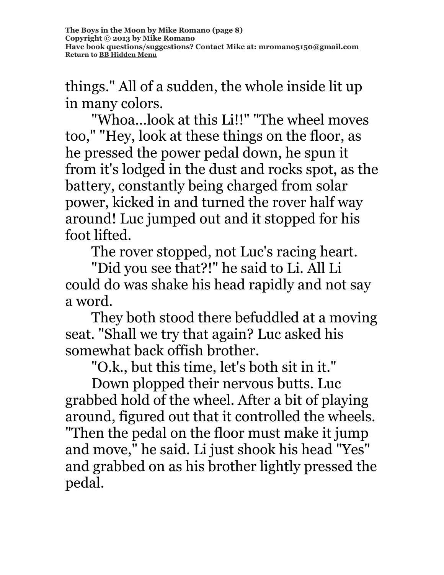things." All of a sudden, the whole inside lit up in many colors.

"Whoa...look at this Li!!" "The wheel moves too," "Hey, look at these things on the floor, as he pressed the power pedal down, he spun it from it's lodged in the dust and rocks spot, as the battery, constantly being charged from solar power, kicked in and turned the rover half way around! Luc jumped out and it stopped for his foot lifted.

The rover stopped, not Luc's racing heart.

"Did you see that?!" he said to Li. All Li could do was shake his head rapidly and not say a word.

They both stood there befuddled at a moving seat. "Shall we try that again? Luc asked his somewhat back offish brother.

"O.k., but this time, let's both sit in it."

Down plopped their nervous butts. Luc grabbed hold of the wheel. After a bit of playing around, figured out that it controlled the wheels. "Then the pedal on the floor must make it jump and move," he said. Li just shook his head "Yes" and grabbed on as his brother lightly pressed the pedal.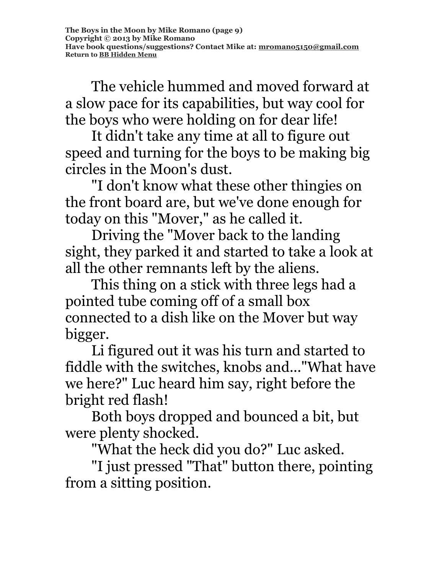The vehicle hummed and moved forward at a slow pace for its capabilities, but way cool for the boys who were holding on for dear life!

It didn't take any time at all to figure out speed and turning for the boys to be making big circles in the Moon's dust.

"I don't know what these other thingies on the front board are, but we've done enough for today on this "Mover," as he called it.

Driving the "Mover back to the landing sight, they parked it and started to take a look at all the other remnants left by the aliens.

This thing on a stick with three legs had a pointed tube coming off of a small box connected to a dish like on the Mover but way bigger.

Li figured out it was his turn and started to fiddle with the switches, knobs and..."What have we here?" Luc heard him say, right before the bright red flash!

Both boys dropped and bounced a bit, but were plenty shocked.

"What the heck did you do?" Luc asked.

"I just pressed "That" button there, pointing from a sitting position.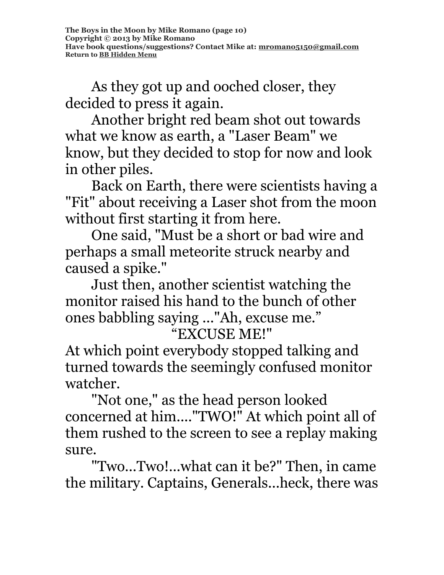As they got up and ooched closer, they decided to press it again.

Another bright red beam shot out towards what we know as earth, a "Laser Beam" we know, but they decided to stop for now and look in other piles.

Back on Earth, there were scientists having a "Fit" about receiving a Laser shot from the moon without first starting it from here.

One said, "Must be a short or bad wire and perhaps a small meteorite struck nearby and caused a spike."

Just then, another scientist watching the monitor raised his hand to the bunch of other ones babbling saying ..."Ah, excuse me."

## "EXCUSE ME!"

At which point everybody stopped talking and turned towards the seemingly confused monitor watcher.

"Not one," as the head person looked concerned at him...."TWO!" At which point all of them rushed to the screen to see a replay making sure.

"Two...Two!...what can it be?" Then, in came the military. Captains, Generals...heck, there was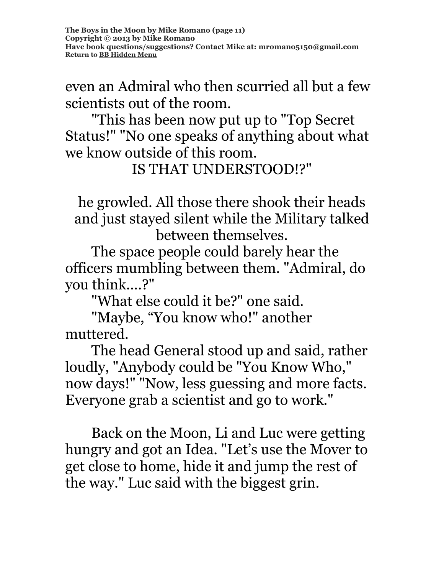even an Admiral who then scurried all but a few scientists out of the room.

"This has been now put up to "Top Secret Status!" "No one speaks of anything about what we know outside of this room.

IS THAT UNDERSTOOD!?"

he growled. All those there shook their heads and just stayed silent while the Military talked between themselves.

The space people could barely hear the officers mumbling between them. "Admiral, do you think....?"

"What else could it be?" one said.

"Maybe, "You know who!" another muttered.

The head General stood up and said, rather loudly, "Anybody could be "You Know Who," now days!" "Now, less guessing and more facts. Everyone grab a scientist and go to work."

Back on the Moon, Li and Luc were getting hungry and got an Idea. "Let's use the Mover to get close to home, hide it and jump the rest of the way." Luc said with the biggest grin.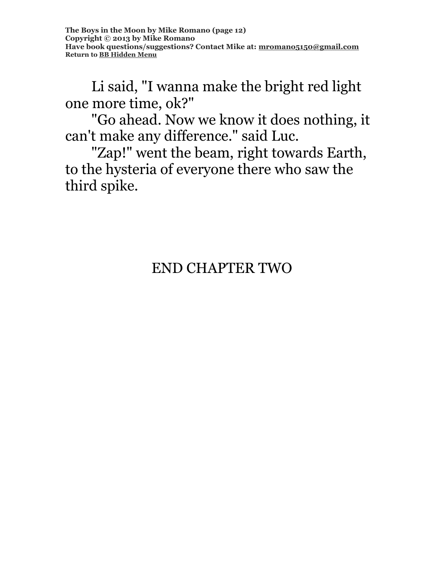Li said, "I wanna make the bright red light one more time, ok?"

"Go ahead. Now we know it does nothing, it can't make any difference." said Luc.

"Zap!" went the beam, right towards Earth, to the hysteria of everyone there who saw the third spike.

# END CHAPTER TWO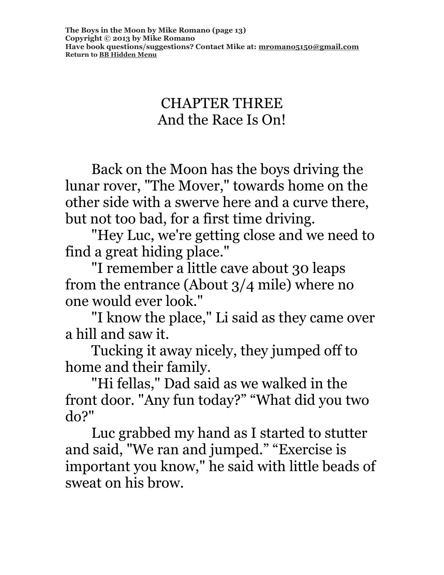## CHAPTER THREE And the Race Is On!

Back on the Moon has the boys driving the lunar rover, "The Mover," towards home on the other side with a swerve here and a curve there, but not too bad, for a first time driving.

"Hey Luc, we're getting close and we need to find a great hiding place."

"I remember a little cave about 30 leaps from the entrance (About 3/4 mile) where no one would ever look."

"I know the place," Li said as they came over a hill and saw it.

Tucking it away nicely, they jumped off to home and their family.

"Hi fellas," Dad said as we walked in the front door. "Any fun today?" "What did you two do?"

Luc grabbed my hand as I started to stutter and said, "We ran and jumped." "Exercise is important you know," he said with little beads of sweat on his brow.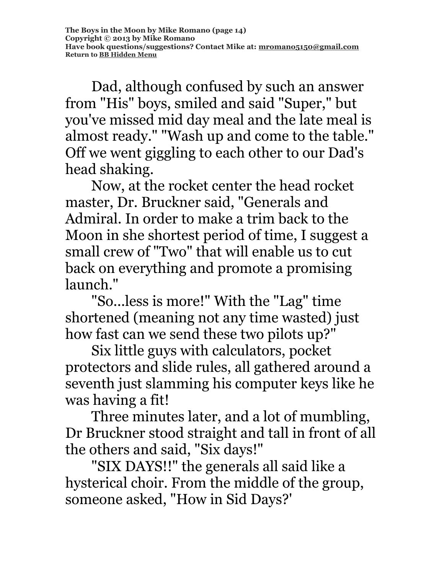Dad, although confused by such an answer from "His" boys, smiled and said "Super," but you've missed mid day meal and the late meal is almost ready." "Wash up and come to the table." Off we went giggling to each other to our Dad's head shaking.

Now, at the rocket center the head rocket master, Dr. Bruckner said, "Generals and Admiral. In order to make a trim back to the Moon in she shortest period of time, I suggest a small crew of "Two" that will enable us to cut back on everything and promote a promising launch."

"So...less is more!" With the "Lag" time shortened (meaning not any time wasted) just how fast can we send these two pilots up?"

Six little guys with calculators, pocket protectors and slide rules, all gathered around a seventh just slamming his computer keys like he was having a fit!

Three minutes later, and a lot of mumbling, Dr Bruckner stood straight and tall in front of all the others and said, "Six days!"

"SIX DAYS!!" the generals all said like a hysterical choir. From the middle of the group, someone asked, "How in Sid Days?'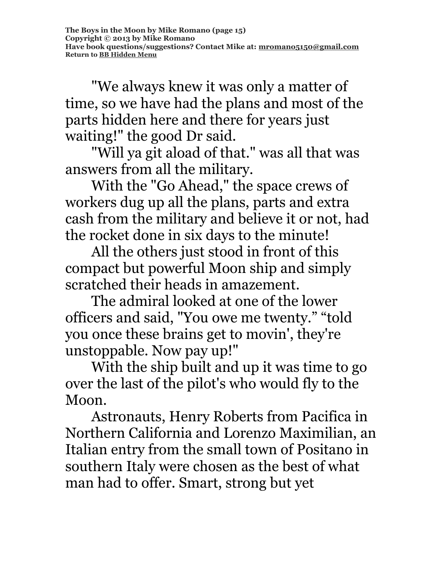"We always knew it was only a matter of time, so we have had the plans and most of the parts hidden here and there for years just waiting!" the good Dr said.

"Will ya git aload of that." was all that was answers from all the military.

With the "Go Ahead," the space crews of workers dug up all the plans, parts and extra cash from the military and believe it or not, had the rocket done in six days to the minute!

All the others just stood in front of this compact but powerful Moon ship and simply scratched their heads in amazement.

The admiral looked at one of the lower officers and said, "You owe me twenty." "told you once these brains get to movin', they're unstoppable. Now pay up!"

With the ship built and up it was time to go over the last of the pilot's who would fly to the Moon.

Astronauts, Henry Roberts from Pacifica in Northern California and Lorenzo Maximilian, an Italian entry from the small town of Positano in southern Italy were chosen as the best of what man had to offer. Smart, strong but yet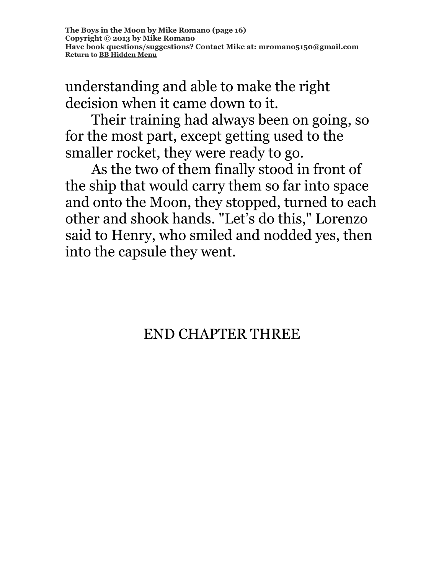understanding and able to make the right decision when it came down to it.

Their training had always been on going, so for the most part, except getting used to the smaller rocket, they were ready to go.

As the two of them finally stood in front of the ship that would carry them so far into space and onto the Moon, they stopped, turned to each other and shook hands. "Let's do this," Lorenzo said to Henry, who smiled and nodded yes, then into the capsule they went.

END CHAPTER THREE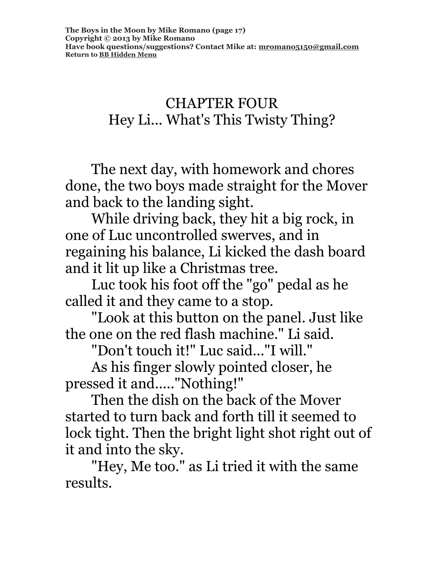## CHAPTER FOUR Hey Li... What's This Twisty Thing?

The next day, with homework and chores done, the two boys made straight for the Mover and back to the landing sight.

While driving back, they hit a big rock, in one of Luc uncontrolled swerves, and in regaining his balance, Li kicked the dash board and it lit up like a Christmas tree.

Luc took his foot off the "go" pedal as he called it and they came to a stop.

"Look at this button on the panel. Just like the one on the red flash machine." Li said.

"Don't touch it!" Luc said..."I will."

As his finger slowly pointed closer, he pressed it and....."Nothing!"

Then the dish on the back of the Mover started to turn back and forth till it seemed to lock tight. Then the bright light shot right out of it and into the sky.

"Hey, Me too." as Li tried it with the same results.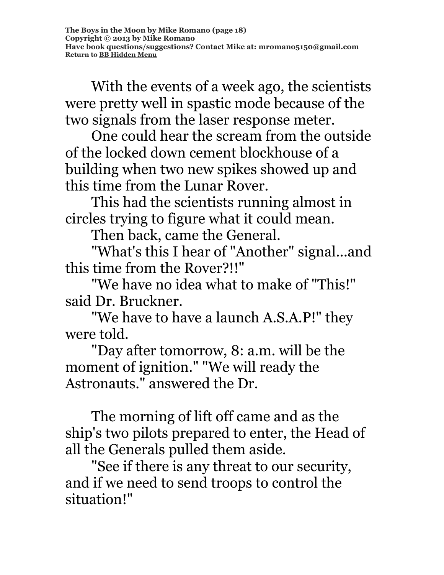With the events of a week ago, the scientists were pretty well in spastic mode because of the two signals from the laser response meter.

One could hear the scream from the outside of the locked down cement blockhouse of a building when two new spikes showed up and this time from the Lunar Rover.

This had the scientists running almost in circles trying to figure what it could mean.

Then back, came the General.

"What's this I hear of "Another" signal...and this time from the Rover?!!"

"We have no idea what to make of "This!" said Dr. Bruckner.

"We have to have a launch A.S.A.P!" they were told.

"Day after tomorrow, 8: a.m. will be the moment of ignition." "We will ready the Astronauts." answered the Dr.

The morning of lift off came and as the ship's two pilots prepared to enter, the Head of all the Generals pulled them aside.

"See if there is any threat to our security, and if we need to send troops to control the situation!"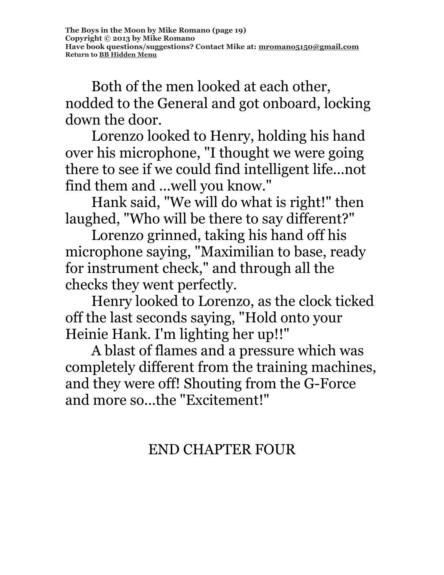Both of the men looked at each other, nodded to the General and got onboard, locking down the door.

Lorenzo looked to Henry, holding his hand over his microphone, "I thought we were going there to see if we could find intelligent life...not find them and ...well you know."

Hank said, "We will do what is right!" then laughed, "Who will be there to say different?"

Lorenzo grinned, taking his hand off his microphone saying, "Maximilian to base, ready for instrument check," and through all the checks they went perfectly.

Henry looked to Lorenzo, as the clock ticked off the last seconds saying, "Hold onto your Heinie Hank. I'm lighting her up!!"

A blast of flames and a pressure which was completely different from the training machines, and they were off! Shouting from the G-Force and more so...the "Excitement!"

## END CHAPTER FOUR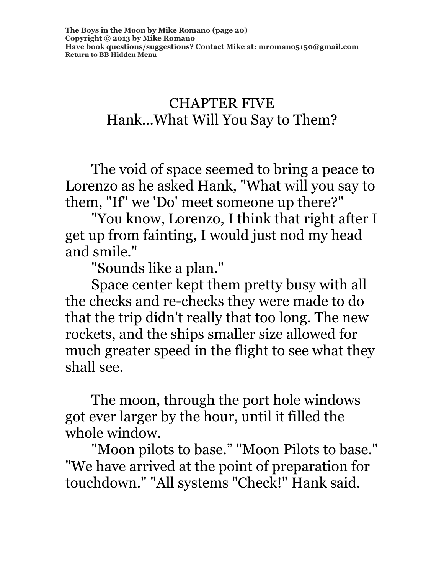## CHAPTER FIVE Hank...What Will You Say to Them?

The void of space seemed to bring a peace to Lorenzo as he asked Hank, "What will you say to them, "If" we 'Do' meet someone up there?"

"You know, Lorenzo, I think that right after I get up from fainting, I would just nod my head and smile."

"Sounds like a plan."

Space center kept them pretty busy with all the checks and re-checks they were made to do that the trip didn't really that too long. The new rockets, and the ships smaller size allowed for much greater speed in the flight to see what they shall see.

The moon, through the port hole windows got ever larger by the hour, until it filled the whole window.

"Moon pilots to base." "Moon Pilots to base." "We have arrived at the point of preparation for touchdown." "All systems "Check!" Hank said.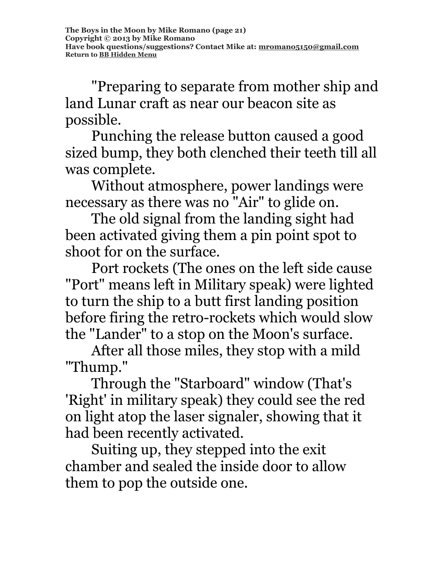"Preparing to separate from mother ship and land Lunar craft as near our beacon site as possible.

Punching the release button caused a good sized bump, they both clenched their teeth till all was complete.

Without atmosphere, power landings were necessary as there was no "Air" to glide on.

The old signal from the landing sight had been activated giving them a pin point spot to shoot for on the surface.

Port rockets (The ones on the left side cause "Port" means left in Military speak) were lighted to turn the ship to a butt first landing position before firing the retro-rockets which would slow the "Lander" to a stop on the Moon's surface.

After all those miles, they stop with a mild "Thump."

Through the "Starboard" window (That's 'Right' in military speak) they could see the red on light atop the laser signaler, showing that it had been recently activated.

Suiting up, they stepped into the exit chamber and sealed the inside door to allow them to pop the outside one.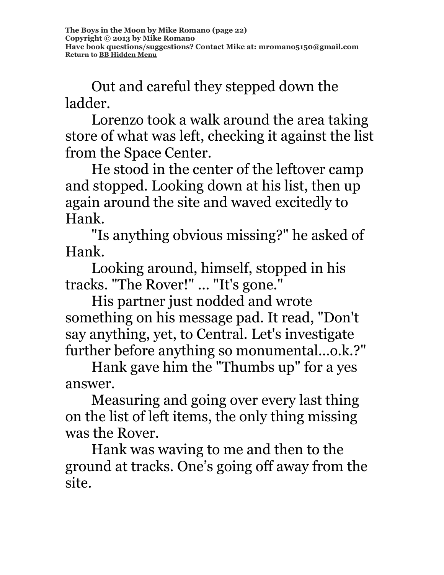Out and careful they stepped down the ladder.

Lorenzo took a walk around the area taking store of what was left, checking it against the list from the Space Center.

He stood in the center of the leftover camp and stopped. Looking down at his list, then up again around the site and waved excitedly to Hank.

"Is anything obvious missing?" he asked of Hank.

Looking around, himself, stopped in his tracks. "The Rover!" ... "It's gone."

His partner just nodded and wrote something on his message pad. It read, "Don't say anything, yet, to Central. Let's investigate further before anything so monumental...o.k.?"

Hank gave him the "Thumbs up" for a yes answer.

Measuring and going over every last thing on the list of left items, the only thing missing was the Rover.

Hank was waving to me and then to the ground at tracks. One's going off away from the site.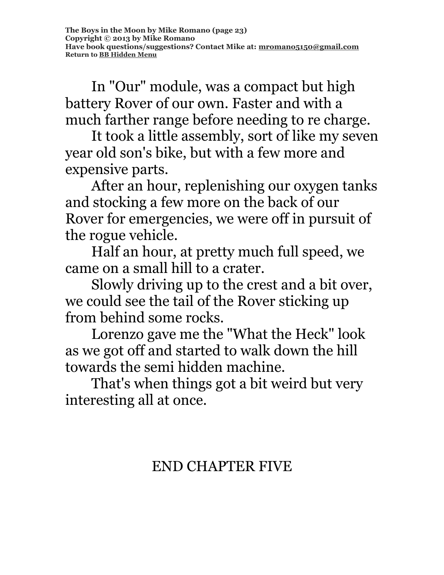In "Our" module, was a compact but high battery Rover of our own. Faster and with a much farther range before needing to re charge.

It took a little assembly, sort of like my seven year old son's bike, but with a few more and expensive parts.

After an hour, replenishing our oxygen tanks and stocking a few more on the back of our Rover for emergencies, we were off in pursuit of the rogue vehicle.

Half an hour, at pretty much full speed, we came on a small hill to a crater.

Slowly driving up to the crest and a bit over, we could see the tail of the Rover sticking up from behind some rocks.

Lorenzo gave me the "What the Heck" look as we got off and started to walk down the hill towards the semi hidden machine.

That's when things got a bit weird but very interesting all at once.

## END CHAPTER FIVE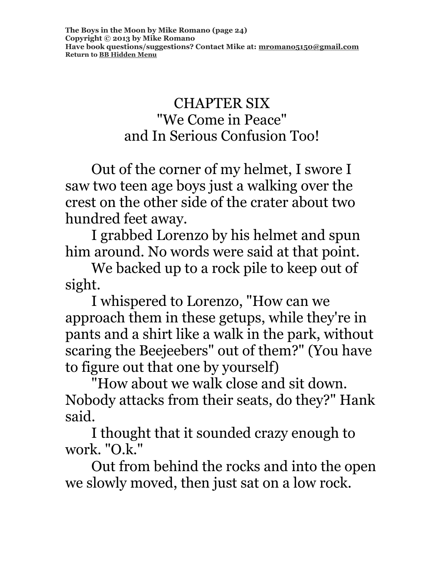## CHAPTER SIX "We Come in Peace" and In Serious Confusion Too!

Out of the corner of my helmet, I swore I saw two teen age boys just a walking over the crest on the other side of the crater about two hundred feet away.

I grabbed Lorenzo by his helmet and spun him around. No words were said at that point.

We backed up to a rock pile to keep out of sight.

I whispered to Lorenzo, "How can we approach them in these getups, while they're in pants and a shirt like a walk in the park, without scaring the Beejeebers" out of them?" (You have to figure out that one by yourself)

"How about we walk close and sit down. Nobody attacks from their seats, do they?" Hank said.

I thought that it sounded crazy enough to work. "O.k."

Out from behind the rocks and into the open we slowly moved, then just sat on a low rock.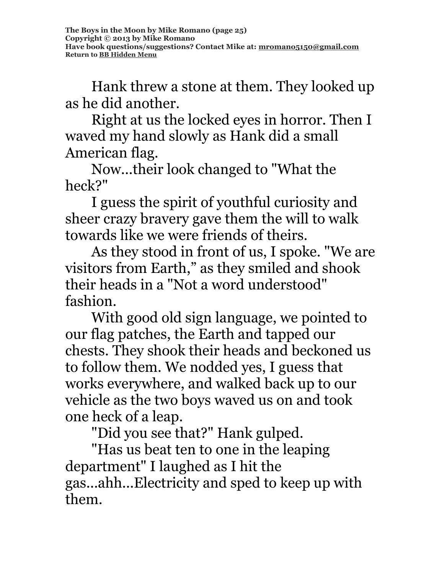Hank threw a stone at them. They looked up as he did another.

Right at us the locked eyes in horror. Then I waved my hand slowly as Hank did a small American flag.

Now...their look changed to "What the heck?"

I guess the spirit of youthful curiosity and sheer crazy bravery gave them the will to walk towards like we were friends of theirs.

As they stood in front of us, I spoke. "We are visitors from Earth," as they smiled and shook their heads in a "Not a word understood" fashion.

With good old sign language, we pointed to our flag patches, the Earth and tapped our chests. They shook their heads and beckoned us to follow them. We nodded yes, I guess that works everywhere, and walked back up to our vehicle as the two boys waved us on and took one heck of a leap.

"Did you see that?" Hank gulped.

"Has us beat ten to one in the leaping department" I laughed as I hit the gas...ahh...Electricity and sped to keep up with them.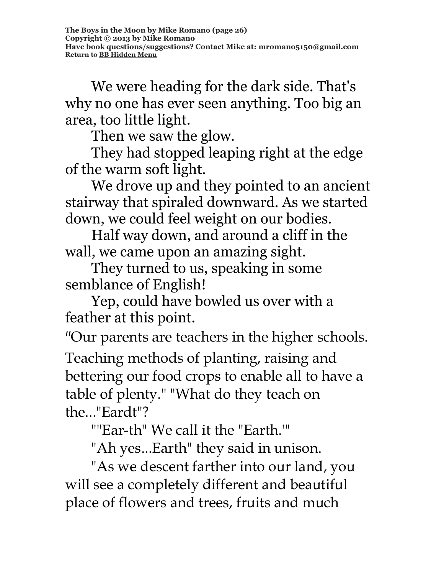We were heading for the dark side. That's why no one has ever seen anything. Too big an area, too little light.

Then we saw the glow.

They had stopped leaping right at the edge of the warm soft light.

We drove up and they pointed to an ancient stairway that spiraled downward. As we started down, we could feel weight on our bodies.

Half way down, and around a cliff in the wall, we came upon an amazing sight.

They turned to us, speaking in some semblance of English!

Yep, could have bowled us over with a feather at this point.

"Our parents are teachers in the higher schools. Teaching methods of planting, raising and bettering our food crops to enable all to have a table of plenty." "What do they teach on the..."Eardt"?

""Ear-th" We call it the "Earth.'"

"Ah yes...Earth" they said in unison.

"As we descent farther into our land, you will see a completely different and beautiful place of flowers and trees, fruits and much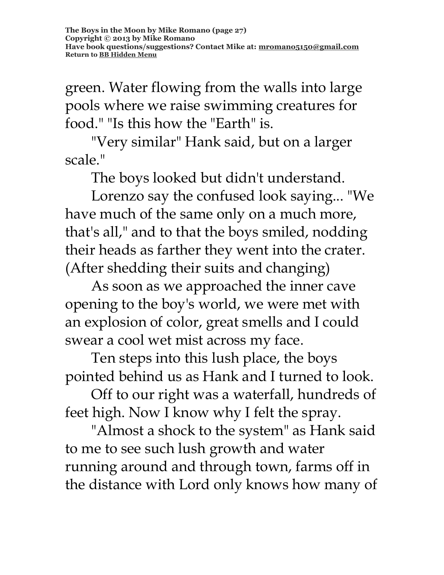green. Water flowing from the walls into large pools where we raise swimming creatures for food." "Is this how the "Earth" is.

"Very similar" Hank said, but on a larger scale."

The boys looked but didn't understand.

Lorenzo say the confused look saying... "We have much of the same only on a much more, that's all," and to that the boys smiled, nodding their heads as farther they went into the crater. (After shedding their suits and changing)

As soon as we approached the inner cave opening to the boy's world, we were met with an explosion of color, great smells and I could swear a cool wet mist across my face.

Ten steps into this lush place, the boys pointed behind us as Hank and I turned to look.

Off to our right was a waterfall, hundreds of feet high. Now I know why I felt the spray.

"Almost a shock to the system" as Hank said to me to see such lush growth and water running around and through town, farms off in the distance with Lord only knows how many of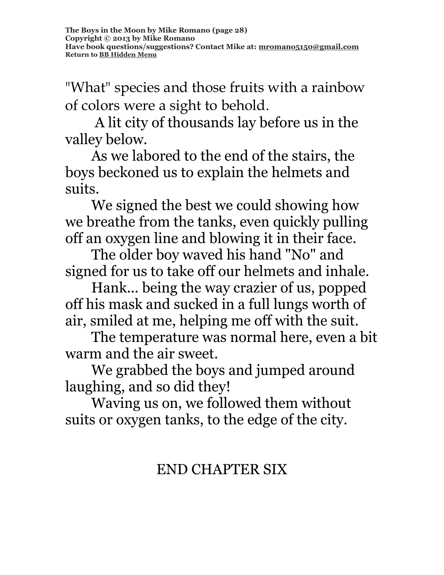"What" species and those fruits with a rainbow of colors were a sight to behold.

A lit city of thousands lay before us in the valley below.

As we labored to the end of the stairs, the boys beckoned us to explain the helmets and suits.

We signed the best we could showing how we breathe from the tanks, even quickly pulling off an oxygen line and blowing it in their face.

The older boy waved his hand "No" and signed for us to take off our helmets and inhale.

Hank... being the way crazier of us, popped off his mask and sucked in a full lungs worth of air, smiled at me, helping me off with the suit.

The temperature was normal here, even a bit warm and the air sweet.

We grabbed the boys and jumped around laughing, and so did they!

Waving us on, we followed them without suits or oxygen tanks, to the edge of the city.

# END CHAPTER SIX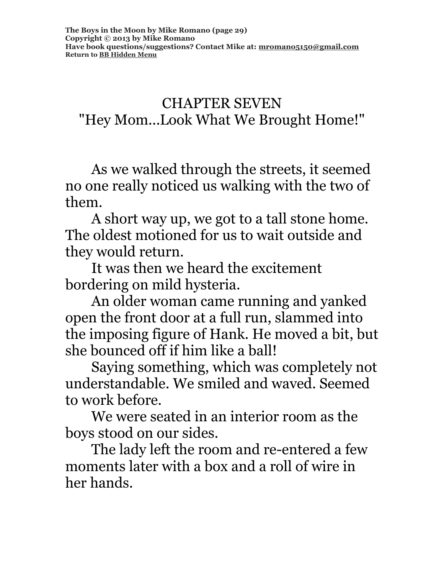CHAPTER SEVEN "Hey Mom...Look What We Brought Home!"

As we walked through the streets, it seemed no one really noticed us walking with the two of them.

A short way up, we got to a tall stone home. The oldest motioned for us to wait outside and they would return.

It was then we heard the excitement bordering on mild hysteria.

An older woman came running and yanked open the front door at a full run, slammed into the imposing figure of Hank. He moved a bit, but she bounced off if him like a ball!

Saying something, which was completely not understandable. We smiled and waved. Seemed to work before.

We were seated in an interior room as the boys stood on our sides.

The lady left the room and re-entered a few moments later with a box and a roll of wire in her hands.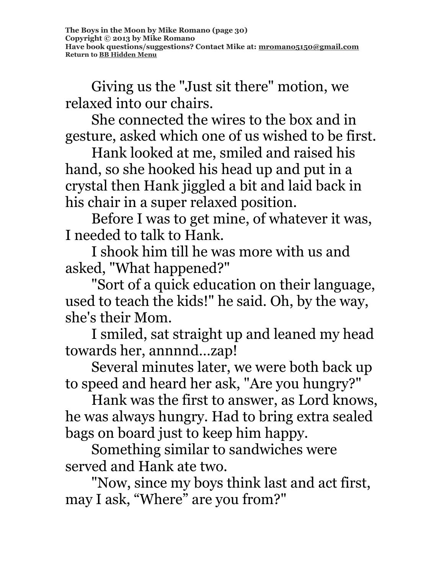Giving us the "Just sit there" motion, we relaxed into our chairs.

She connected the wires to the box and in gesture, asked which one of us wished to be first.

Hank looked at me, smiled and raised his hand, so she hooked his head up and put in a crystal then Hank jiggled a bit and laid back in his chair in a super relaxed position.

Before I was to get mine, of whatever it was, I needed to talk to Hank.

I shook him till he was more with us and asked, "What happened?"

"Sort of a quick education on their language, used to teach the kids!" he said. Oh, by the way, she's their Mom.

I smiled, sat straight up and leaned my head towards her, annnnd…zap!

Several minutes later, we were both back up to speed and heard her ask, "Are you hungry?"

Hank was the first to answer, as Lord knows, he was always hungry. Had to bring extra sealed bags on board just to keep him happy.

Something similar to sandwiches were served and Hank ate two.

"Now, since my boys think last and act first, may I ask, "Where" are you from?"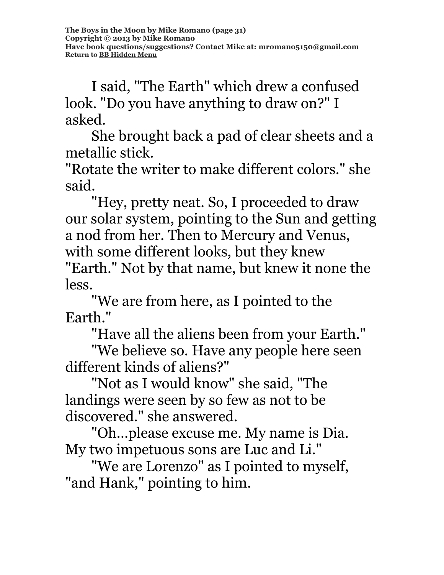I said, "The Earth" which drew a confused look. "Do you have anything to draw on?" I asked.

She brought back a pad of clear sheets and a metallic stick.

"Rotate the writer to make different colors." she said.

"Hey, pretty neat. So, I proceeded to draw our solar system, pointing to the Sun and getting a nod from her. Then to Mercury and Venus, with some different looks, but they knew

"Earth." Not by that name, but knew it none the less.

"We are from here, as I pointed to the Earth."

"Have all the aliens been from your Earth."

"We believe so. Have any people here seen different kinds of aliens?"

"Not as I would know" she said, "The landings were seen by so few as not to be discovered." she answered.

"Oh...please excuse me. My name is Dia. My two impetuous sons are Luc and Li."

"We are Lorenzo" as I pointed to myself, "and Hank," pointing to him.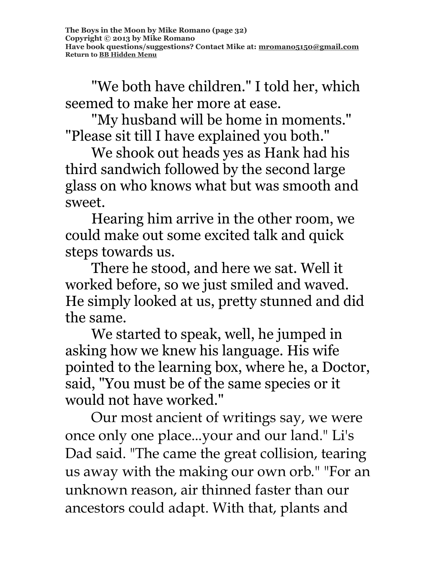"We both have children." I told her, which seemed to make her more at ease.

"My husband will be home in moments." "Please sit till I have explained you both."

We shook out heads yes as Hank had his third sandwich followed by the second large glass on who knows what but was smooth and sweet.

Hearing him arrive in the other room, we could make out some excited talk and quick steps towards us.

There he stood, and here we sat. Well it worked before, so we just smiled and waved. He simply looked at us, pretty stunned and did the same.

We started to speak, well, he jumped in asking how we knew his language. His wife pointed to the learning box, where he, a Doctor, said, "You must be of the same species or it would not have worked."

Our most ancient of writings say, we were once only one place...your and our land." Li's Dad said. "The came the great collision, tearing us away with the making our own orb." "For an unknown reason, air thinned faster than our ancestors could adapt. With that, plants and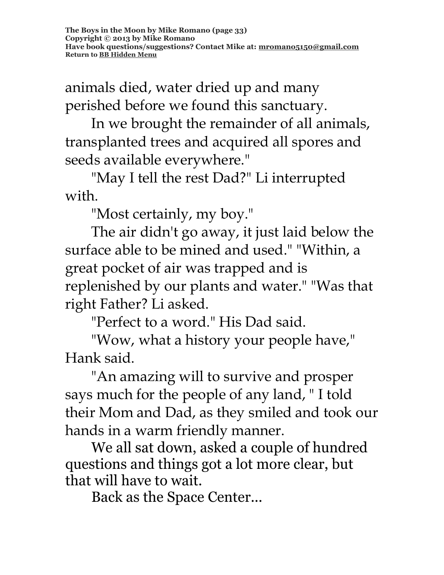animals died, water dried up and many perished before we found this sanctuary.

In we brought the remainder of all animals, transplanted trees and acquired all spores and seeds available everywhere."

"May I tell the rest Dad?" Li interrupted with.

"Most certainly, my boy."

The air didn't go away, it just laid below the surface able to be mined and used." "Within, a great pocket of air was trapped and is replenished by our plants and water." "Was that right Father? Li asked.

"Perfect to a word." His Dad said.

"Wow, what a history your people have," Hank said.

"An amazing will to survive and prosper says much for the people of any land, " I told their Mom and Dad, as they smiled and took our hands in a warm friendly manner.

We all sat down, asked a couple of hundred questions and things got a lot more clear, but that will have to wait.

Back as the Space Center...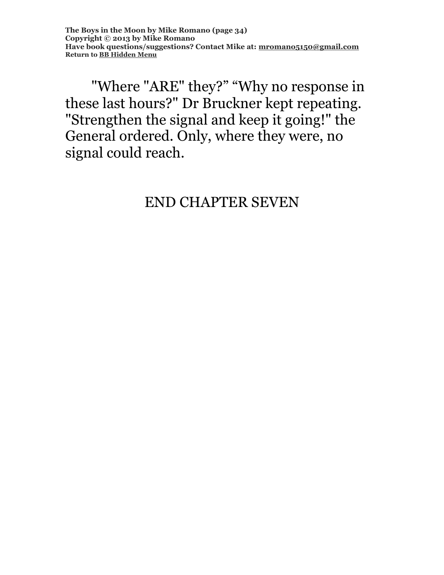"Where "ARE" they?" "Why no response in these last hours?" Dr Bruckner kept repeating. "Strengthen the signal and keep it going!" the General ordered. Only, where they were, no signal could reach.

## END CHAPTER SEVEN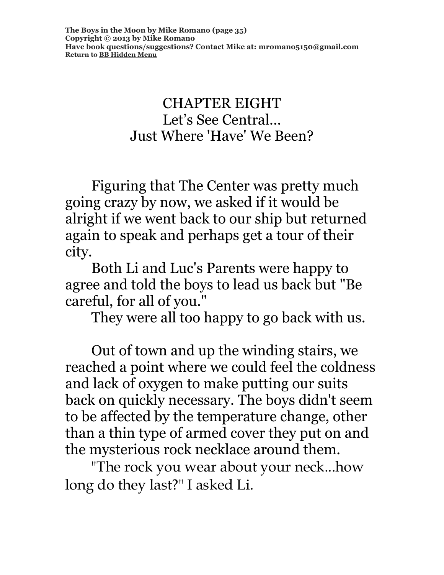#### CHAPTER EIGHT Let's See Central... Just Where 'Have' We Been?

Figuring that The Center was pretty much going crazy by now, we asked if it would be alright if we went back to our ship but returned again to speak and perhaps get a tour of their city.

Both Li and Luc's Parents were happy to agree and told the boys to lead us back but "Be careful, for all of you."

They were all too happy to go back with us.

Out of town and up the winding stairs, we reached a point where we could feel the coldness and lack of oxygen to make putting our suits back on quickly necessary. The boys didn't seem to be affected by the temperature change, other than a thin type of armed cover they put on and the mysterious rock necklace around them.

"The rock you wear about your neck...how long do they last?" I asked Li.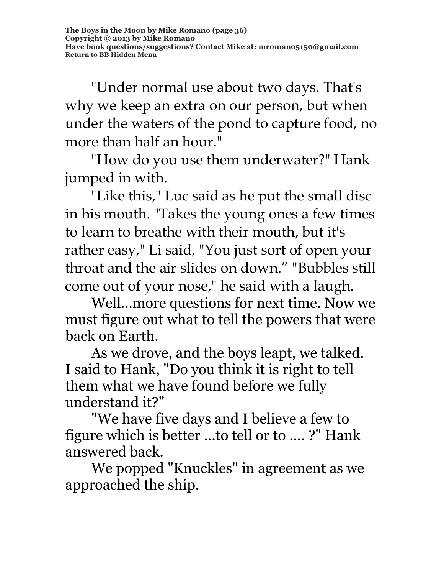"Under normal use about two days. That's why we keep an extra on our person, but when under the waters of the pond to capture food, no more than half an hour."

"How do you use them underwater?" Hank jumped in with.

"Like this," Luc said as he put the small disc in his mouth. "Takes the young ones a few times to learn to breathe with their mouth, but it's rather easy," Li said, "You just sort of open your throat and the air slides on down." "Bubbles still come out of your nose," he said with a laugh.

Well...more questions for next time. Now we must figure out what to tell the powers that were back on Earth.

As we drove, and the boys leapt, we talked. I said to Hank, "Do you think it is right to tell them what we have found before we fully understand it?"

"We have five days and I believe a few to figure which is better ...to tell or to .... ?" Hank answered back.

We popped "Knuckles" in agreement as we approached the ship.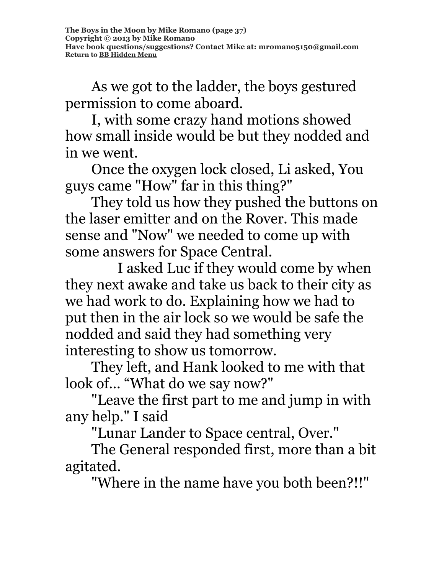As we got to the ladder, the boys gestured permission to come aboard.

I, with some crazy hand motions showed how small inside would be but they nodded and in we went.

Once the oxygen lock closed, Li asked, You guys came "How" far in this thing?"

They told us how they pushed the buttons on the laser emitter and on the Rover. This made sense and "Now" we needed to come up with some answers for Space Central.

I asked Luc if they would come by when they next awake and take us back to their city as we had work to do. Explaining how we had to put then in the air lock so we would be safe the nodded and said they had something very interesting to show us tomorrow.

They left, and Hank looked to me with that look of... "What do we say now?"

"Leave the first part to me and jump in with any help." I said

"Lunar Lander to Space central, Over."

The General responded first, more than a bit agitated.

"Where in the name have you both been?!!"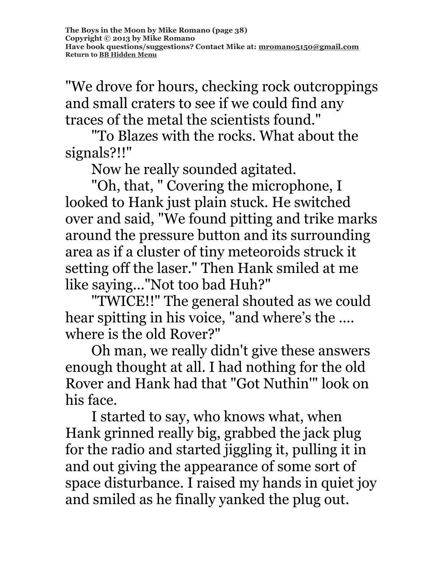"We drove for hours, checking rock outcroppings and small craters to see if we could find any traces of the metal the scientists found."

"To Blazes with the rocks. What about the signals?!!"

Now he really sounded agitated.

"Oh, that, " Covering the microphone, I looked to Hank just plain stuck. He switched over and said, "We found pitting and trike marks around the pressure button and its surrounding area as if a cluster of tiny meteoroids struck it setting off the laser." Then Hank smiled at me like saying..."Not too bad Huh?"

"TWICE!!" The general shouted as we could hear spitting in his voice, "and where's the .... where is the old Rover?"

Oh man, we really didn't give these answers enough thought at all. I had nothing for the old Rover and Hank had that "Got Nuthin'" look on his face.

I started to say, who knows what, when Hank grinned really big, grabbed the jack plug for the radio and started jiggling it, pulling it in and out giving the appearance of some sort of space disturbance. I raised my hands in quiet joy and smiled as he finally yanked the plug out.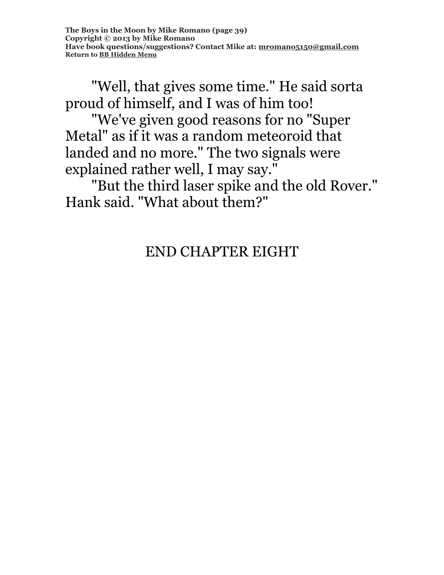"Well, that gives some time." He said sorta proud of himself, and I was of him too!

"We've given good reasons for no "Super Metal" as if it was a random meteoroid that landed and no more." The two signals were explained rather well, I may say."

"But the third laser spike and the old Rover." Hank said. "What about them?"

# END CHAPTER EIGHT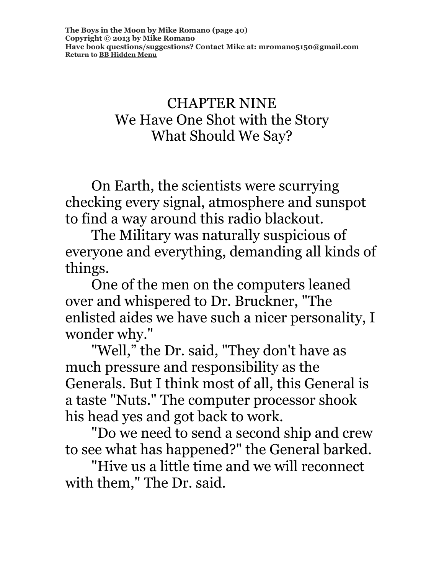### CHAPTER NINE We Have One Shot with the Story What Should We Say?

On Earth, the scientists were scurrying checking every signal, atmosphere and sunspot to find a way around this radio blackout.

The Military was naturally suspicious of everyone and everything, demanding all kinds of things.

One of the men on the computers leaned over and whispered to Dr. Bruckner, "The enlisted aides we have such a nicer personality, I wonder why."

"Well," the Dr. said, "They don't have as much pressure and responsibility as the Generals. But I think most of all, this General is a taste "Nuts." The computer processor shook his head yes and got back to work.

"Do we need to send a second ship and crew to see what has happened?" the General barked.

"Hive us a little time and we will reconnect with them," The Dr. said.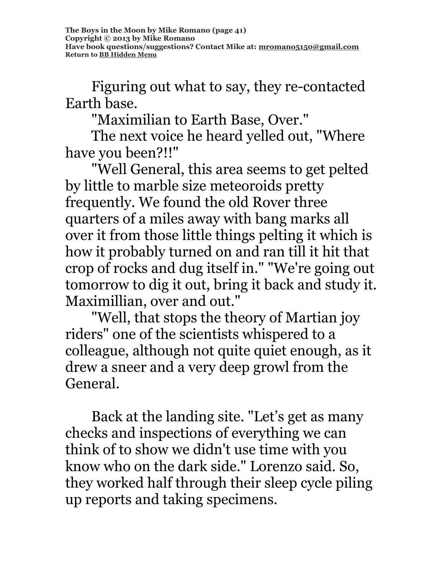Figuring out what to say, they re-contacted Earth base.

"Maximilian to Earth Base, Over."

The next voice he heard yelled out, "Where have you been?!!"

"Well General, this area seems to get pelted by little to marble size meteoroids pretty frequently. We found the old Rover three quarters of a miles away with bang marks all over it from those little things pelting it which is how it probably turned on and ran till it hit that crop of rocks and dug itself in." "We're going out tomorrow to dig it out, bring it back and study it. Maximillian, over and out."

"Well, that stops the theory of Martian joy riders" one of the scientists whispered to a colleague, although not quite quiet enough, as it drew a sneer and a very deep growl from the General.

Back at the landing site. "Let's get as many checks and inspections of everything we can think of to show we didn't use time with you know who on the dark side." Lorenzo said. So, they worked half through their sleep cycle piling up reports and taking specimens.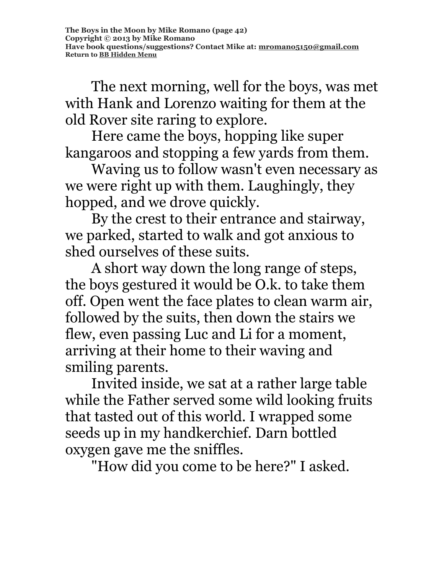The next morning, well for the boys, was met with Hank and Lorenzo waiting for them at the old Rover site raring to explore.

Here came the boys, hopping like super kangaroos and stopping a few yards from them.

Waving us to follow wasn't even necessary as we were right up with them. Laughingly, they hopped, and we drove quickly.

By the crest to their entrance and stairway, we parked, started to walk and got anxious to shed ourselves of these suits.

A short way down the long range of steps, the boys gestured it would be O.k. to take them off. Open went the face plates to clean warm air, followed by the suits, then down the stairs we flew, even passing Luc and Li for a moment, arriving at their home to their waving and smiling parents.

Invited inside, we sat at a rather large table while the Father served some wild looking fruits that tasted out of this world. I wrapped some seeds up in my handkerchief. Darn bottled oxygen gave me the sniffles.

"How did you come to be here?" I asked.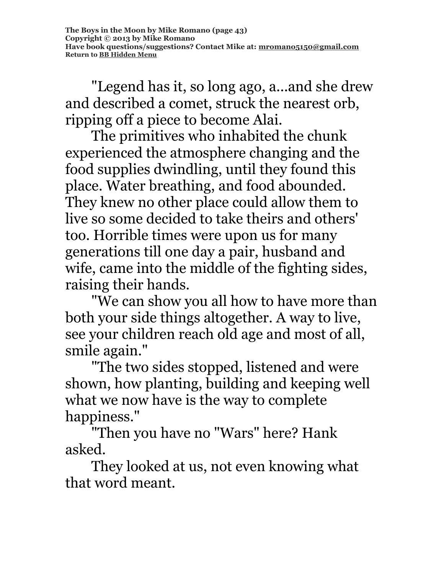"Legend has it, so long ago, a...and she drew and described a comet, struck the nearest orb, ripping off a piece to become Alai.

The primitives who inhabited the chunk experienced the atmosphere changing and the food supplies dwindling, until they found this place. Water breathing, and food abounded. They knew no other place could allow them to live so some decided to take theirs and others' too. Horrible times were upon us for many generations till one day a pair, husband and wife, came into the middle of the fighting sides, raising their hands.

"We can show you all how to have more than both your side things altogether. A way to live, see your children reach old age and most of all, smile again."

"The two sides stopped, listened and were shown, how planting, building and keeping well what we now have is the way to complete happiness."

"Then you have no "Wars" here? Hank asked.

They looked at us, not even knowing what that word meant.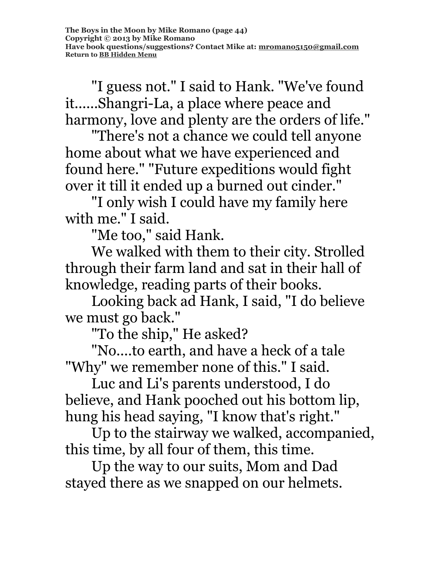"I guess not." I said to Hank. "We've found it......Shangri-La, a place where peace and harmony, love and plenty are the orders of life."

"There's not a chance we could tell anyone home about what we have experienced and found here." "Future expeditions would fight over it till it ended up a burned out cinder."

"I only wish I could have my family here with me." I said.

"Me too," said Hank.

We walked with them to their city. Strolled through their farm land and sat in their hall of knowledge, reading parts of their books.

Looking back ad Hank, I said, "I do believe we must go back."

"To the ship," He asked?

"No....to earth, and have a heck of a tale "Why" we remember none of this." I said.

Luc and Li's parents understood, I do believe, and Hank pooched out his bottom lip, hung his head saying, "I know that's right."

Up to the stairway we walked, accompanied, this time, by all four of them, this time.

Up the way to our suits, Mom and Dad stayed there as we snapped on our helmets.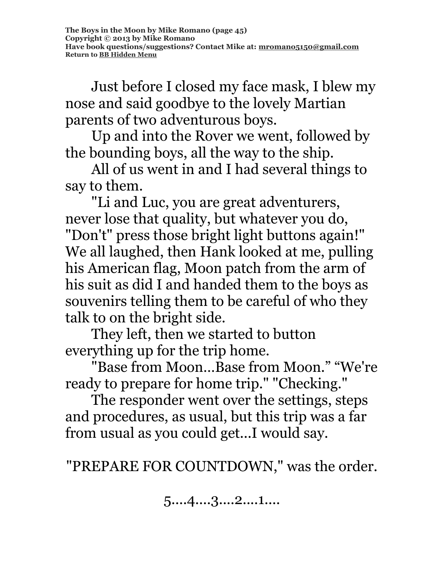Just before I closed my face mask, I blew my nose and said goodbye to the lovely Martian parents of two adventurous boys.

Up and into the Rover we went, followed by the bounding boys, all the way to the ship.

All of us went in and I had several things to say to them.

"Li and Luc, you are great adventurers, never lose that quality, but whatever you do, "Don't" press those bright light buttons again!" We all laughed, then Hank looked at me, pulling his American flag, Moon patch from the arm of his suit as did I and handed them to the boys as souvenirs telling them to be careful of who they talk to on the bright side.

They left, then we started to button everything up for the trip home.

"Base from Moon…Base from Moon." "We're ready to prepare for home trip." "Checking."

The responder went over the settings, steps and procedures, as usual, but this trip was a far from usual as you could get...I would say.

"PREPARE FOR COUNTDOWN," was the order.

5....4....3....2....1....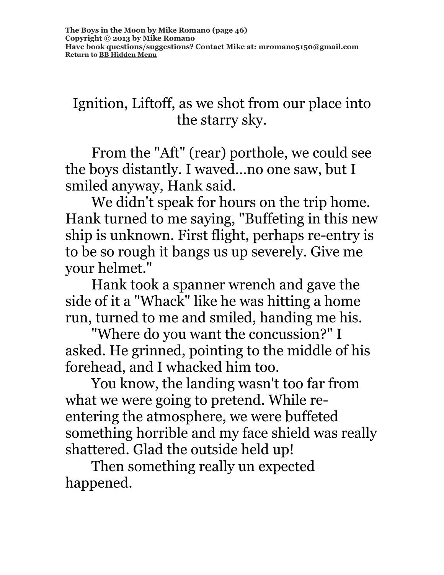## Ignition, Liftoff, as we shot from our place into the starry sky.

From the "Aft" (rear) porthole, we could see the boys distantly. I waved…no one saw, but I smiled anyway, Hank said.

We didn't speak for hours on the trip home. Hank turned to me saying, "Buffeting in this new ship is unknown. First flight, perhaps re-entry is to be so rough it bangs us up severely. Give me your helmet."

Hank took a spanner wrench and gave the side of it a "Whack" like he was hitting a home run, turned to me and smiled, handing me his.

"Where do you want the concussion?" I asked. He grinned, pointing to the middle of his forehead, and I whacked him too.

You know, the landing wasn't too far from what we were going to pretend. While reentering the atmosphere, we were buffeted something horrible and my face shield was really shattered. Glad the outside held up!

Then something really un expected happened.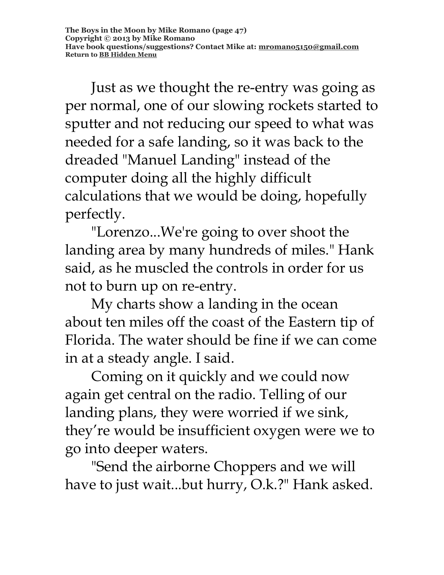Just as we thought the re-entry was going as per normal, one of our slowing rockets started to sputter and not reducing our speed to what was needed for a safe landing, so it was back to the dreaded "Manuel Landing" instead of the computer doing all the highly difficult calculations that we would be doing, hopefully perfectly.

"Lorenzo...We're going to over shoot the landing area by many hundreds of miles." Hank said, as he muscled the controls in order for us not to burn up on re-entry.

My charts show a landing in the ocean about ten miles off the coast of the Eastern tip of Florida. The water should be fine if we can come in at a steady angle. I said.

Coming on it quickly and we could now again get central on the radio. Telling of our landing plans, they were worried if we sink, they're would be insufficient oxygen were we to go into deeper waters.

"Send the airborne Choppers and we will have to just wait...but hurry, O.k.?" Hank asked.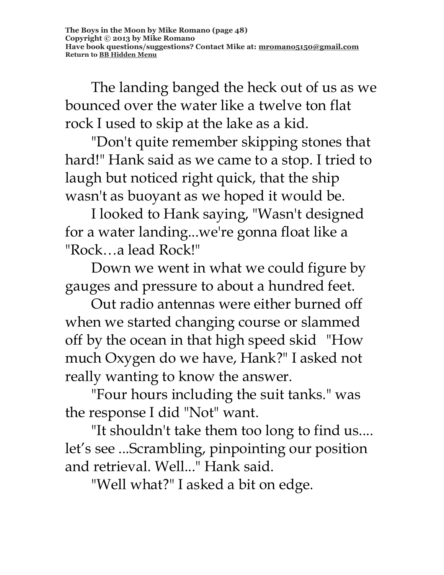The landing banged the heck out of us as we bounced over the water like a twelve ton flat rock I used to skip at the lake as a kid.

"Don't quite remember skipping stones that hard!" Hank said as we came to a stop. I tried to laugh but noticed right quick, that the ship wasn't as buoyant as we hoped it would be.

I looked to Hank saying, "Wasn't designed for a water landing...we're gonna float like a "Rock…a lead Rock!"

Down we went in what we could figure by gauges and pressure to about a hundred feet.

Out radio antennas were either burned off when we started changing course or slammed off by the ocean in that high speed skid "How much Oxygen do we have, Hank?" I asked not really wanting to know the answer.

"Four hours including the suit tanks." was the response I did "Not" want.

"It shouldn't take them too long to find us.... let's see ...Scrambling, pinpointing our position and retrieval. Well..." Hank said.

"Well what?" I asked a bit on edge.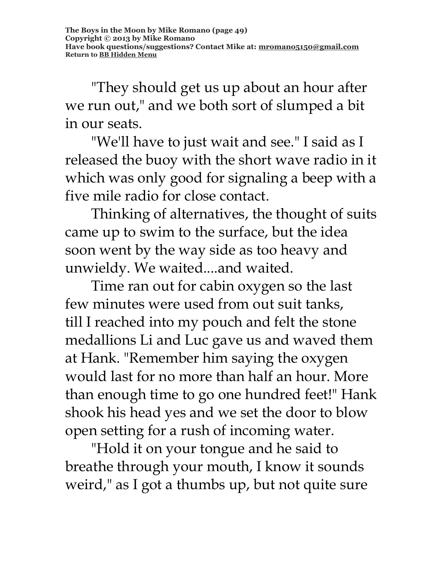"They should get us up about an hour after we run out," and we both sort of slumped a bit in our seats.

"We'll have to just wait and see." I said as I released the buoy with the short wave radio in it which was only good for signaling a beep with a five mile radio for close contact.

Thinking of alternatives, the thought of suits came up to swim to the surface, but the idea soon went by the way side as too heavy and unwieldy. We waited....and waited.

Time ran out for cabin oxygen so the last few minutes were used from out suit tanks, till I reached into my pouch and felt the stone medallions Li and Luc gave us and waved them at Hank. "Remember him saying the oxygen would last for no more than half an hour. More than enough time to go one hundred feet!" Hank shook his head yes and we set the door to blow open setting for a rush of incoming water.

"Hold it on your tongue and he said to breathe through your mouth, I know it sounds weird," as I got a thumbs up, but not quite sure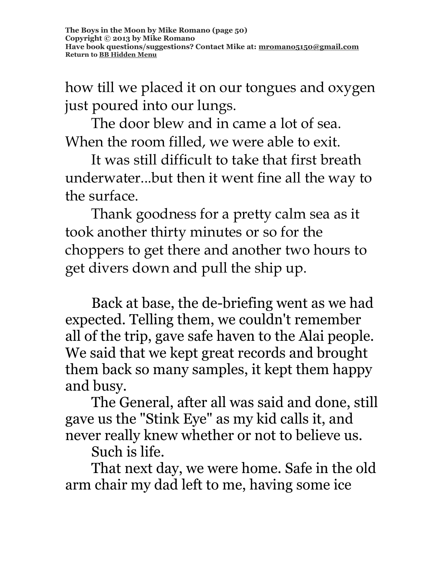how till we placed it on our tongues and oxygen just poured into our lungs.

The door blew and in came a lot of sea. When the room filled, we were able to exit.

It was still difficult to take that first breath underwater...but then it went fine all the way to the surface.

Thank goodness for a pretty calm sea as it took another thirty minutes or so for the choppers to get there and another two hours to get divers down and pull the ship up.

Back at base, the de-briefing went as we had expected. Telling them, we couldn't remember all of the trip, gave safe haven to the Alai people. We said that we kept great records and brought them back so many samples, it kept them happy and busy.

The General, after all was said and done, still gave us the "Stink Eye" as my kid calls it, and never really knew whether or not to believe us.

Such is life.

That next day, we were home. Safe in the old arm chair my dad left to me, having some ice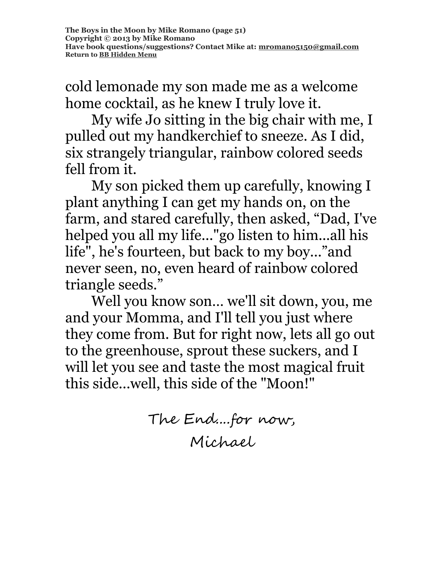cold lemonade my son made me as a welcome home cocktail, as he knew I truly love it.

My wife Jo sitting in the big chair with me, I pulled out my handkerchief to sneeze. As I did, six strangely triangular, rainbow colored seeds fell from it.

My son picked them up carefully, knowing I plant anything I can get my hands on, on the farm, and stared carefully, then asked, "Dad, I've helped you all my life..."go listen to him...all his life", he's fourteen, but back to my boy..."and never seen, no, even heard of rainbow colored triangle seeds."

Well you know son… we'll sit down, you, me and your Momma, and I'll tell you just where they come from. But for right now, lets all go out to the greenhouse, sprout these suckers, and I will let you see and taste the most magical fruit this side...well, this side of the "Moon!"

> The End....for now, Michael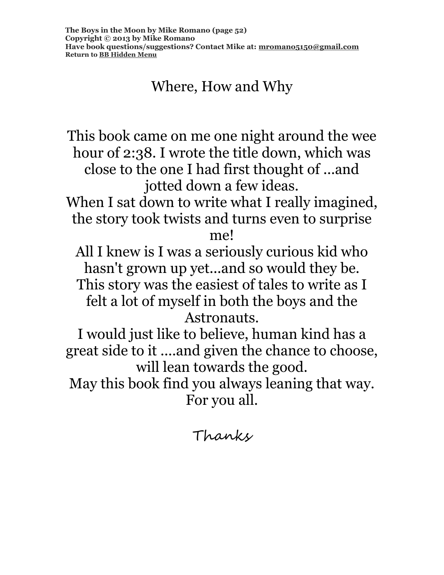# Where, How and Why

This book came on me one night around the wee hour of 2:38. I wrote the title down, which was close to the one I had first thought of ...and jotted down a few ideas. When I sat down to write what I really imagined, the story took twists and turns even to surprise me! All I knew is I was a seriously curious kid who hasn't grown up yet...and so would they be. This story was the easiest of tales to write as I felt a lot of myself in both the boys and the Astronauts. I would just like to believe, human kind has a great side to it ....and given the chance to choose, will lean towards the good. May this book find you always leaning that way. For you all.

Thanks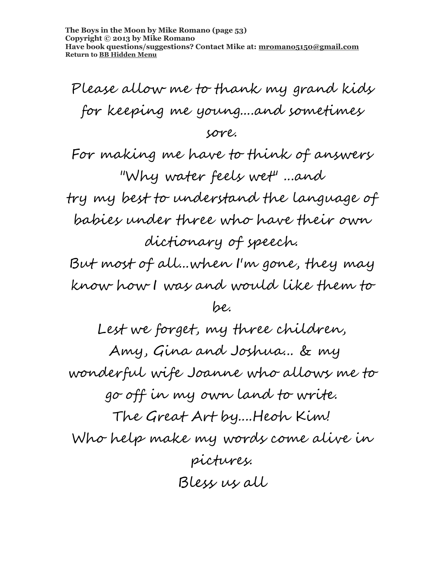**The Boys in the Moon by Mike Romano (page 53) Copyright © 2013 by Mike Romano Have book questions/suggestions? Contact Mike at: [mromano5150@gmail.com](mailto:mromano5150@gmail.com) Return t[o BB Hidden Menu](https://www.bartlettbiographies.com/hidden-menu)**

Please allow me to thank my grand kids for keeping me young....and sometimes

#### sore.

For making me have to think of answers "Why water feels wet" ...and try my best to understand the language of babies under three who have their own dictionary of speech.

But most of all...when I'm gone, they may know how I was and would like them to

#### be.

Lest we forget, my three children, Amy, Gina and Joshua... & my wonderful wife Joanne who allows me to go off in my own land to write. The Great Art by....Heoh Kim! Who help make my words come alive in pictures. Bless us all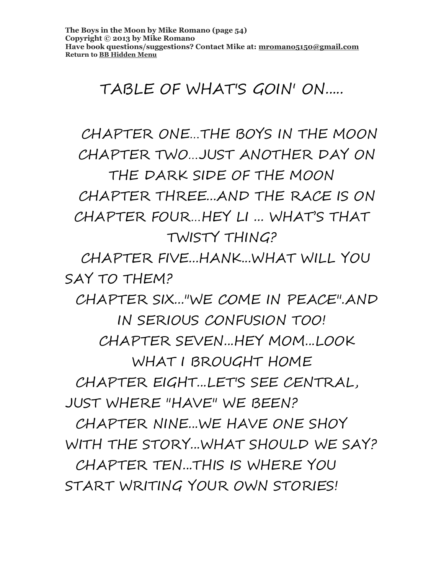# TABLE OF WHAT'S GOIN' ON.....

 CHAPTER ONE…THE BOYS IN THE MOON CHAPTER TWO…JUST ANOTHER DAY ON THE DARK SIDE OF THE MOON CHAPTER THREE...AND THE RACE IS ON CHAPTER FOUR…HEY LI ... WHAT'S THAT TWISTY THING?

 CHAPTER FIVE...HANK...WHAT WILL YOU SAY TO THEM?

 CHAPTER SIX..."WE COME IN PEACE".AND IN SERIOUS CONFUSION TOO! CHAPTER SEVEN...HEY MOM...LOOK WHAT I BROUGHT HOME CHAPTER EIGHT...LET'S SEE CENTRAL, JUST WHERE "HAVE" WE BEEN?

 CHAPTER NINE...WE HAVE ONE SHOY WITH THE STORY...WHAT SHOULD WE SAY?

 CHAPTER TEN...THIS IS WHERE YOU START WRITING YOUR OWN STORIES!